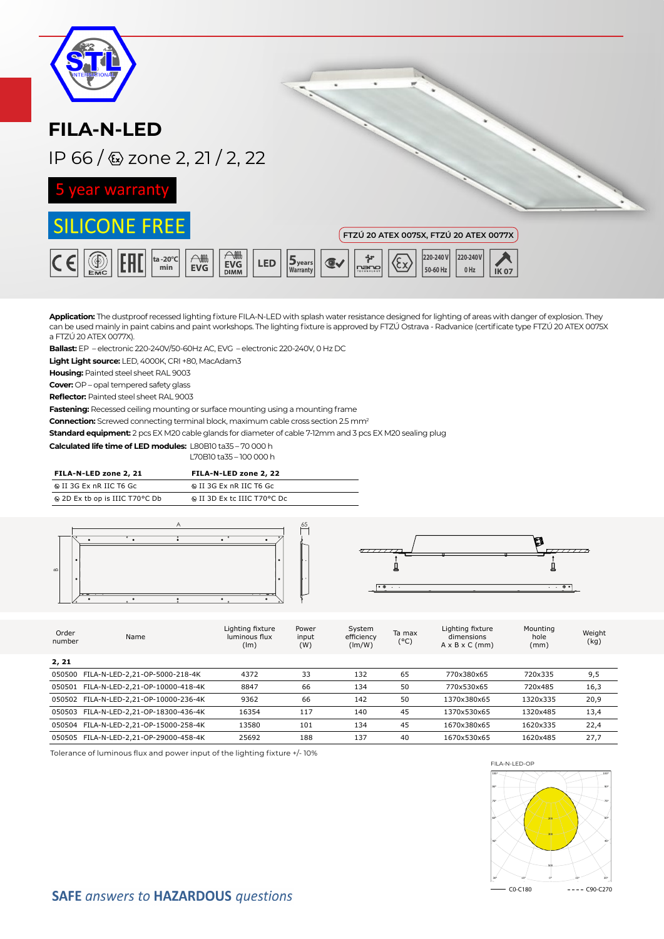| <b>FILA-N-LED</b>                                                                                        |                                                                                                                  |
|----------------------------------------------------------------------------------------------------------|------------------------------------------------------------------------------------------------------------------|
| IP 66 / & zone 2, 21 / 2, 22                                                                             |                                                                                                                  |
| 5 year warranty                                                                                          |                                                                                                                  |
| <b>SILICONE FREE</b>                                                                                     | FTZÚ 20 ATEX 0075X, FTZÚ 20 ATEX 0077X                                                                           |
| AM<br>$\bigtriangleup$<br>ta-20°C<br><b>LED</b><br><b>EVG</b><br><b>EVG</b><br>min<br><b>DIMM</b><br>Емс | 220-240V<br>220-240 V<br>∻ุ้ะ<br>$5$ years<br>max <sub>1</sub><br>50-60 Hz<br>$0$ Hz<br>Warranty<br><b>IK 07</b> |

**Application:** The dustproof recessed lighting fixture FILA-N-LED with splash water resistance designed for lighting of areas with danger of explosion. They can be used mainly in paint cabins and paint workshops. The lighting fixture is approved by FTZÚ Ostrava - Radvanice (certificate type FTZÚ 20 ATEX 0075X a FTZÚ 20 ATEX 0077X).

**Ballast:** EP – electronic 220-240V/50-60Hz AC, EVG – electronic 220-240V, 0 Hz DC

**Light Light source:** LED, 4000K, CRI +80, MacAdam3

**Housing:** Painted steel sheet RAL 9003

**Cover:** OP – opal tempered safety glass

**Reflector:** Painted steel sheet RAL 9003

**Fastening:** Recessed ceiling mounting or surface mounting using a mounting frame

**Connection:** Screwed connecting terminal block, maximum cable cross section 2.5 mm2

**Standard equipment:** 2 pcs EX M20 cable glands for diameter of cable 7-12mm and 3 pcs EX M20 sealing plug

**Calculated life time of LED modules:** L80B10 ta35 – 70 000 h

L70B10 ta35 – 100 000 h

| FILA-N-LED zone 2, 21          | FILA-N-LED zone 2, 22        |
|--------------------------------|------------------------------|
| ⊕ II 3G Ex nR IIC T6 Gc        | ⊕ II 3G Ex nR IIC T6 Gc      |
| ◎ 2D Ex tb op is IIIC T70°C Db | is II 3D Ex to IIIC T70°C Do |



| Order<br>number | Name                                   | Lighting fixture<br>luminous flux<br>(lm) | Power<br>input<br>(W) | System<br>efficiency<br>(lm/W) | Ta max<br>$(^{\circ}C)$ | Lighting fixture<br>dimensions<br>$A \times B \times C$ (mm) | Mounting<br>hole<br>(mm) | Weight<br>(kg) |
|-----------------|----------------------------------------|-------------------------------------------|-----------------------|--------------------------------|-------------------------|--------------------------------------------------------------|--------------------------|----------------|
| 2, 21           |                                        |                                           |                       |                                |                         |                                                              |                          |                |
| 050500          | FILA-N-LED-2,21-OP-5000-218-4K         | 4372                                      | 33                    | 132                            | 65                      | 770x380x65                                                   | 720x335                  | 9,5            |
|                 | 050501 FILA-N-LED-2,21-OP-10000-418-4K | 8847                                      | 66                    | 134                            | 50                      | 770x530x65                                                   | 720×485                  | 16,3           |
|                 | 050502 FILA-N-LED-2,21-OP-10000-236-4K | 9362                                      | 66                    | 142                            | 50                      | 1370x380x65                                                  | 1320x335                 | 20,9           |
|                 | 050503 FILA-N-LED-2,21-OP-18300-436-4K | 16354                                     | 117                   | 140                            | 45                      | 1370x530x65                                                  | 1320x485                 | 13,4           |
|                 | 050504 FILA-N-LED-2,21-OP-15000-258-4K | 13580                                     | 101                   | 134                            | 45                      | 1670x380x65                                                  | 1620x335                 | 22,4           |
|                 | 050505 FILA-N-LED-2.21-OP-29000-458-4K | 25692                                     | 188                   | 137                            | 40                      | 1670x530x65                                                  | 1620x485                 | 27,7           |

Tolerance of luminous flux and power input of the lighting fixture +/- 10%